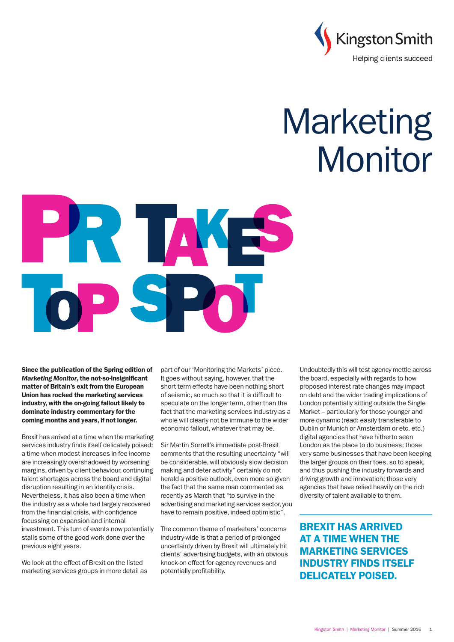

# **Marketing** Monitor



Since the publication of the Spring edition of *Marketing Monitor*, the not-so-insignificant matter of Britain's exit from the European Union has rocked the marketing services industry, with the on-going fallout likely to dominate industry commentary for the coming months and years, if not longer.

Brexit has arrived at a time when the marketing services industry finds itself delicately poised; a time when modest increases in fee income are increasingly overshadowed by worsening margins, driven by client behaviour, continuing talent shortages across the board and digital disruption resulting in an identity crisis. Nevertheless, it has also been a time when the industry as a whole had largely recovered from the financial crisis, with confidence focussing on expansion and internal investment. This turn of events now potentially stalls some of the good work done over the previous eight years.

We look at the effect of Brexit on the listed marketing services groups in more detail as part of our 'Monitoring the Markets' piece. It goes without saying, however, that the short term effects have been nothing short of seismic, so much so that it is difficult to speculate on the longer term, other than the fact that the marketing services industry as a whole will clearly not be immune to the wider economic fallout, whatever that may be.

Sir Martin Sorrell's immediate post-Brexit comments that the resulting uncertainty "will be considerable, will obviously slow decision making and deter activity" certainly do not herald a positive outlook, even more so given the fact that the same man commented as recently as March that "to survive in the advertising and marketing services sector, you have to remain positive, indeed optimistic".

The common theme of marketers' concerns industry-wide is that a period of prolonged uncertainty driven by Brexit will ultimately hit clients' advertising budgets, with an obvious knock-on effect for agency revenues and potentially profitability.

Undoubtedly this will test agency mettle across the board, especially with regards to how proposed interest rate changes may impact on debt and the wider trading implications of London potentially sitting outside the Single Market – particularly for those younger and more dynamic (read: easily transferable to Dublin or Munich or Amsterdam or etc. etc.) digital agencies that have hitherto seen London as the place to do business; those very same businesses that have been keeping the larger groups on their toes, so to speak, and thus pushing the industry forwards and driving growth and innovation; those very agencies that have relied heavily on the rich diversity of talent available to them.

BREXIT HAS ARRIVED AT A TIME WHEN THE MARKETING SERVICES INDUSTRY FINDS ITSELF DELICATELY POISED.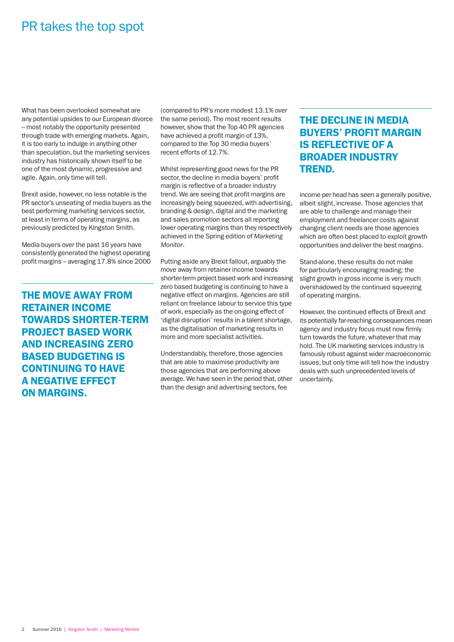## PR takes the top spot

What has been overlooked somewhat are any potential upsides to our European divorce – most notably the opportunity presented through trade with emerging markets. Again, it is too early to indulge in anything other than speculation, but the marketing services industry has historically shown itself to be one of the most dynamic, progressive and agile. Again, only time will tell.

Brexit aside, however, no less notable is the PR sector's unseating of media buyers as the best performing marketing services sector, at least in terms of operating margins, as previously predicted by Kingston Smith.

Media buyers over the past 16 years have consistently generated the highest operating profit margins – averaging 17.8% since 2000

THE MOVE AWAY FROM RETAINER INCOME TOWARDS SHORTER-TERM PROJECT BASED WORK AND INCREASING ZERO BASED BUDGETING IS CONTINUING TO HAVE A NEGATIVE EFFECT ON MARGINS.

(compared to PR's more modest 13.1% over the same period). The most recent results however, show that the Top 40 PR agencies have achieved a profit margin of 13%, compared to the Top 30 media buyers' recent efforts of 12.7%.

Whilst representing good news for the PR sector, the decline in media buyers' profit margin is reflective of a broader industry trend. We are seeing that profit margins are increasingly being squeezed, with advertising, branding & design, digital and the marketing and sales promotion sectors all reporting lower operating margins than they respectively achieved in the Spring edition of *Marketing Monitor*.

Putting aside any Brexit fallout, arguably the move away from retainer income towards shorter-term project based work and increasing zero based budgeting is continuing to have a negative effect on margins. Agencies are still reliant on freelance labour to service this type of work, especially as the on-going effect of 'digital disruption' results in a talent shortage, as the digitalisation of marketing results in more and more specialist activities.

Understandably, therefore, those agencies that are able to maximise productivity are those agencies that are performing above average. We have seen in the period that, other than the design and advertising sectors, fee

### THE DECLINE IN MEDIA BUYERS' PROFIT MARGIN IS REFLECTIVE OF A BROADER INDUSTRY TREND.

income per head has seen a generally positive, albeit slight, increase. Those agencies that are able to challenge and manage their employment and freelancer costs against changing client needs are those agencies which are often best placed to exploit growth opportunities and deliver the best margins.

Stand-alone, these results do not make for particularly encouraging reading; the slight growth in gross income is very much overshadowed by the continued squeezing of operating margins.

However, the continued effects of Brexit and its potentially far-reaching consequences mean agency and industry focus must now firmly turn towards the future, whatever that may hold. The UK marketing services industry is famously robust against wider macroeconomic issues, but only time will tell how the industry deals with such unprecedented levels of uncertainty.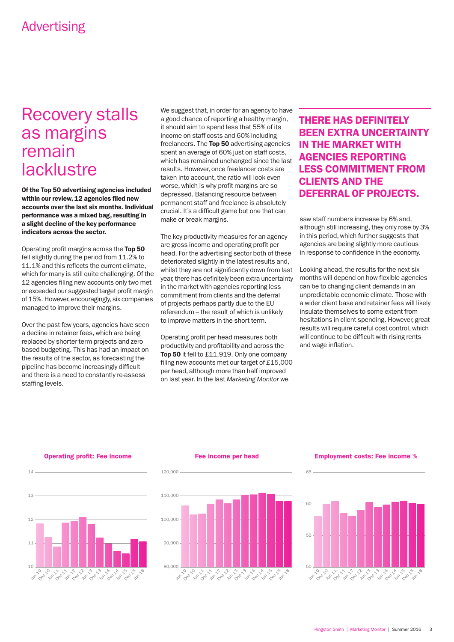# Recovery stalls as margins remain lacklustre

Of the Top 50 advertising agencies included within our review, 12 agencies filed new accounts over the last six months. Individual performance was a mixed bag, resulting in a slight decline of the key performance indicators across the sector.

Operating profit margins across the Top 50 fell slightly during the period from 11.2% to 11.1% and this reflects the current climate, which for many is still quite challenging. Of the 12 agencies filing new accounts only two met or exceeded our suggested target profit margin of 15%. However, encouragingly, six companies managed to improve their margins.

Over the past few years, agencies have seen a decline in retainer fees, which are being replaced by shorter term projects and zero based budgeting. This has had an impact on the results of the sector, as forecasting the pipeline has become increasingly difficult and there is a need to constantly re-assess staffing levels.

We suggest that, in order for an agency to have a good chance of reporting a healthy margin, it should aim to spend less that 55% of its income on staff costs and 60% including freelancers. The Top 50 advertising agencies spent an average of 60% just on staff costs, which has remained unchanged since the last results. However, once freelancer costs are taken into account, the ratio will look even worse, which is why profit margins are so depressed. Balancing resource between permanent staff and freelance is absolutely crucial. It's a difficult game but one that can make or break margins.

The key productivity measures for an agency are gross income and operating profit per head. For the advertising sector both of these deteriorated slightly in the latest results and, whilst they are not significantly down from last year, there has definitely been extra uncertainty in the market with agencies reporting less commitment from clients and the deferral of projects perhaps partly due to the EU referendum – the result of which is unlikely to improve matters in the short term.

Operating profit per head measures both productivity and profitability and across the Top 50 it fell to £11,919. Only one company filing new accounts met our target of £15,000 per head, although more than half improved on last year. In the last *Marketing Monitor* we

### THERE HAS DEFINITELY BEEN EXTRA UNCERTAINTY IN THE MARKET WITH AGENCIES REPORTING LESS COMMITMENT FROM CLIENTS AND THE DEFERRAL OF PROJECTS.

saw staff numbers increase by 6% and, although still increasing, they only rose by 3% in this period, which further suggests that agencies are being slightly more cautious in response to confidence in the economy.

Looking ahead, the results for the next six months will depend on how flexible agencies can be to changing client demands in an unpredictable economic climate. Those with a wider client base and retainer fees will likely insulate themselves to some extent from hesitations in client spending. However, great results will require careful cost control, which will continue to be difficult with rising rents and wage inflation.



Operating profit: Fee income

### Fee income per head

120,000

120,000



### Employment costs: Fee income %

65

65

65

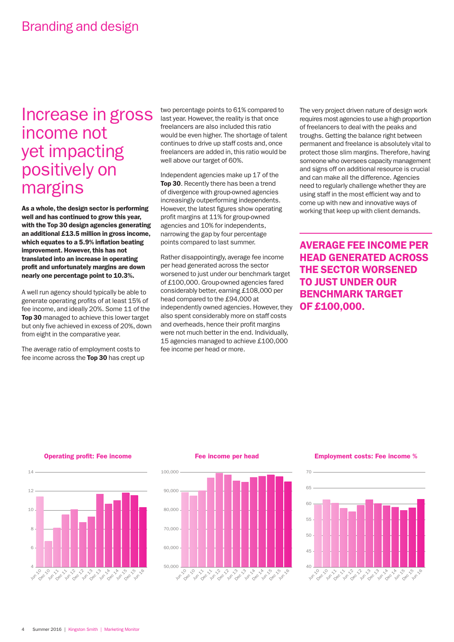# Increase in gross income not yet impacting positively on margins

As a whole, the design sector is performing well and has continued to grow this year, with the Top 30 design agencies generating an additional £13.5 million in gross income, which equates to a 5.9% inflation beating improvement. However, this has not translated into an increase in operating profit and unfortunately margins are down nearly one percentage point to 10.3%.

A well run agency should typically be able to generate operating profits of at least 15% of fee income, and ideally 20%. Some 11 of the Top 30 managed to achieve this lower target but only five achieved in excess of 20%, down from eight in the comparative year.

The average ratio of employment costs to fee income across the Top 30 has crept up two percentage points to 61% compared to last year. However, the reality is that once freelancers are also included this ratio would be even higher. The shortage of talent continues to drive up staff costs and, once freelancers are added in, this ratio would be well above our target of 60%.

Independent agencies make up 17 of the Top 30. Recently there has been a trend of divergence with group-owned agencies increasingly outperforming independents. However, the latest figures show operating profit margins at 11% for group-owned agencies and 10% for independents, narrowing the gap by four percentage points compared to last summer.

Rather disappointingly, average fee income per head generated across the sector worsened to just under our benchmark target of £100,000. Group-owned agencies fared considerably better, earning £108,000 per head compared to the £94,000 at independently owned agencies. However, they also spent considerably more on staff costs and overheads, hence their profit margins were not much better in the end. Individually, 15 agencies managed to achieve £100,000 fee income per head or more.

The very project driven nature of design work requires most agencies to use a high proportion of freelancers to deal with the peaks and troughs. Getting the balance right between permanent and freelance is absolutely vital to protect those slim margins. Therefore, having someone who oversees capacity management and signs off on additional resource is crucial and can make all the difference. Agencies need to regularly challenge whether they are using staff in the most efficient way and to come up with new and innovative ways of working that keep up with client demands.

AVERAGE FEE INCOME PER HEAD GENERATED ACROSS THE SECTOR WORSENED TO JUST UNDER OUR BENCHMARK TARGET OF £100,000.

Operating profit: Fee income

100,000

14



Fee income per head



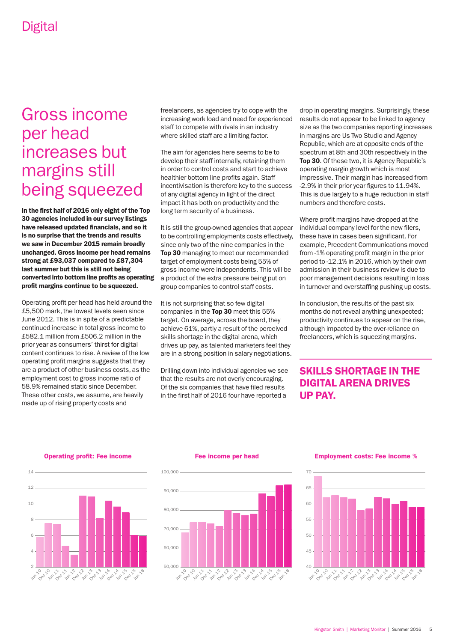# Gross income per head increases but margins still being squeezed

In the first half of 2016 only eight of the Top 30 agencies included in our survey listings have released updated financials, and so it is no surprise that the trends and results we saw in December 2015 remain broadly unchanged. Gross income per head remains strong at £93,037 compared to £87,304 last summer but this is still not being converted into bottom line profits as operating profit margins continue to be squeezed.

Operating profit per head has held around the £5,500 mark, the lowest levels seen since June 2012. This is in spite of a predictable continued increase in total gross income to £582.1 million from £506.2 million in the prior year as consumers' thirst for digital content continues to rise. A review of the low operating profit margins suggests that they are a product of other business costs, as the employment cost to gross income ratio of 58.9% remained static since December. These other costs, we assume, are heavily made up of rising property costs and

freelancers, as agencies try to cope with the increasing work load and need for experienced staff to compete with rivals in an industry where skilled staff are a limiting factor.

The aim for agencies here seems to be to develop their staff internally, retaining them in order to control costs and start to achieve healthier bottom line profits again. Staff incentivisation is therefore key to the success of any digital agency in light of the direct impact it has both on productivity and the long term security of a business.

It is still the group-owned agencies that appear to be controlling employments costs effectively, since only two of the nine companies in the Top 30 managing to meet our recommended target of employment costs being 55% of gross income were independents. This will be a product of the extra pressure being put on group companies to control staff costs.

It is not surprising that so few digital companies in the Top 30 meet this 55% target. On average, across the board, they achieve 61%, partly a result of the perceived skills shortage in the digital arena, which drives up pay, as talented marketers feel they are in a strong position in salary negotiations.

Drilling down into individual agencies we see that the results are not overly encouraging. Of the six companies that have filed results in the first half of 2016 four have reported a

drop in operating margins. Surprisingly, these results do not appear to be linked to agency size as the two companies reporting increases in margins are Us Two Studio and Agency Republic, which are at opposite ends of the spectrum at 8th and 30th respectively in the Top 30. Of these two, it is Agency Republic's operating margin growth which is most impressive. Their margin has increased from -2.9% in their prior year figures to 11.94%. This is due largely to a huge reduction in staff numbers and therefore costs.

Where profit margins have dropped at the individual company level for the new filers, these have in cases been significant. For example, Precedent Communications moved from -1% operating profit margin in the prior period to -12.1% in 2016, which by their own admission in their business review is due to poor management decisions resulting in loss in turnover and overstaffing pushing up costs.

In conclusion, the results of the past six months do not reveal anything unexpected; productivity continues to appear on the rise, although impacted by the over-reliance on freelancers, which is squeezing margins.

### SKILLS SHORTAGE IN THE DIGITAL ARENA DRIVES UP PAY.

Operating profit: Fee income

 $14$ 



#### Fee income per head



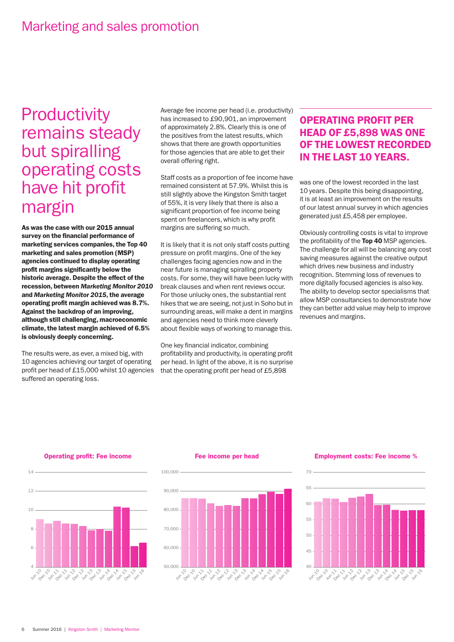# **Productivity** remains steady but spiralling operating costs have hit profit margin

As was the case with our 2015 annual survey on the financial performance of marketing services companies, the Top 40 marketing and sales promotion (MSP) agencies continued to display operating profit margins significantly below the historic average. Despite the effect of the recession, between *Marketing Monitor 2010* and *Marketing Monitor 2015*, the average operating profit margin achieved was 8.7%. Against the backdrop of an improving, although still challenging, macroeconomic climate, the latest margin achieved of 6.5% is obviously deeply concerning.

The results were, as ever, a mixed big, with 10 agencies achieving our target of operating profit per head of £15,000 whilst 10 agencies suffered an operating loss.

Average fee income per head (i.e. productivity) has increased to £90,901, an improvement of approximately 2.8%. Clearly this is one of the positives from the latest results, which shows that there are growth opportunities for those agencies that are able to get their overall offering right.

Staff costs as a proportion of fee income have remained consistent at 57.9%. Whilst this is still slightly above the Kingston Smith target of 55%, it is very likely that there is also a significant proportion of fee income being spent on freelancers, which is why profit margins are suffering so much.

It is likely that it is not only staff costs putting pressure on profit margins. One of the key challenges facing agencies now and in the near future is managing spiralling property costs. For some, they will have been lucky with break clauses and when rent reviews occur. For those unlucky ones, the substantial rent hikes that we are seeing, not just in Soho but in surrounding areas, will make a dent in margins and agencies need to think more cleverly about flexible ways of working to manage this.

One key financial indicator, combining profitability and productivity, is operating profit per head. In light of the above, it is no surprise that the operating profit per head of £5,898

### OPERATING PROFIT PER HEAD OF £5,898 WAS ONE OF THE LOWEST RECORDED IN THE LAST 10 YEARS.

was one of the lowest recorded in the last 10 years. Despite this being disappointing, it is at least an improvement on the results of our latest annual survey in which agencies generated just £5,458 per employee.

Obviously controlling costs is vital to improve the profitability of the Top 40 MSP agencies. The challenge for all will be balancing any cost saving measures against the creative output which drives new business and industry recognition. Stemming loss of revenues to more digitally focused agencies is also key. The ability to develop sector specialisms that allow MSP consultancies to demonstrate how they can better add value may help to improve revenues and margins.

Operating profit: Fee income

100,000

 $14$ 



### Fee income per head



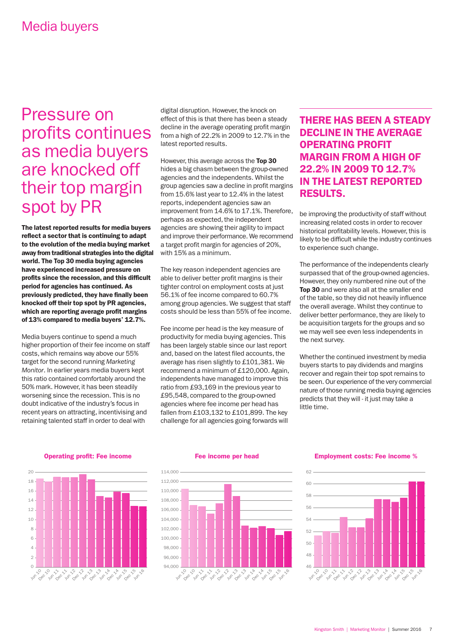# Pressure on profits continues as media buyers are knocked off their top margin spot by PR

The latest reported results for media buyers reflect a sector that is continuing to adapt to the evolution of the media buying market away from traditional strategies into the digital world. The Top 30 media buying agencies have experienced increased pressure on profits since the recession, and this difficult period for agencies has continued. As previously predicted, they have finally been knocked off their top spot by PR agencies, which are reporting average profit margins of 13% compared to media buyers' 12.7%.

Media buyers continue to spend a much higher proportion of their fee income on staff costs, which remains way above our 55% target for the second running *Marketing Monitor*. In earlier years media buyers kept this ratio contained comfortably around the 50% mark. However, it has been steadily worsening since the recession. This is no doubt indicative of the industry's focus in recent years on attracting, incentivising and retaining talented staff in order to deal with

digital disruption. However, the knock on effect of this is that there has been a steady decline in the average operating profit margin from a high of 22.2% in 2009 to 12.7% in the latest reported results.

However, this average across the Top 30 hides a big chasm between the group-owned agencies and the independents. Whilst the group agencies saw a decline in profit margins from 15.6% last year to 12.4% in the latest reports, independent agencies saw an improvement from 14.6% to 17.1%. Therefore, perhaps as expected, the independent agencies are showing their agility to impact and improve their performance. We recommend a target profit margin for agencies of 20%, with 15% as a minimum.

The key reason independent agencies are able to deliver better profit margins is their tighter control on employment costs at just 56.1% of fee income compared to 60.7% among group agencies. We suggest that staff costs should be less than 55% of fee income.

Fee income per head is the key measure of productivity for media buying agencies. This has been largely stable since our last report and, based on the latest filed accounts, the average has risen slightly to £101,381. We recommend a minimum of £120,000. Again, independents have managed to improve this ratio from £93,169 in the previous year to £95,548, compared to the group-owned agencies where fee income per head has fallen from £103,132 to £101,899. The key challenge for all agencies going forwards will

### THERE HAS BEEN A STEADY DECLINE IN THE AVERAGE OPERATING PROFIT MARGIN FROM A HIGH OF 22.2% IN 2009 TO 12.7% IN THE LATEST REPORTED RESULTS.

be improving the productivity of staff without increasing related costs in order to recover historical profitability levels. However, this is likely to be difficult while the industry continues to experience such change.

The performance of the independents clearly surpassed that of the group-owned agencies. However, they only numbered nine out of the Top 30 and were also all at the smaller end of the table, so they did not heavily influence the overall average. Whilst they continue to deliver better performance, they are likely to be acquisition targets for the groups and so we may well see even less independents in the next survey.

Whether the continued investment by media buyers starts to pay dividends and margins recover and regain their top spot remains to be seen. Our experience of the very commercial nature of those running media buying agencies predicts that they will - it just may take a little time.

Operating profit: Fee income



#### Fee income per head



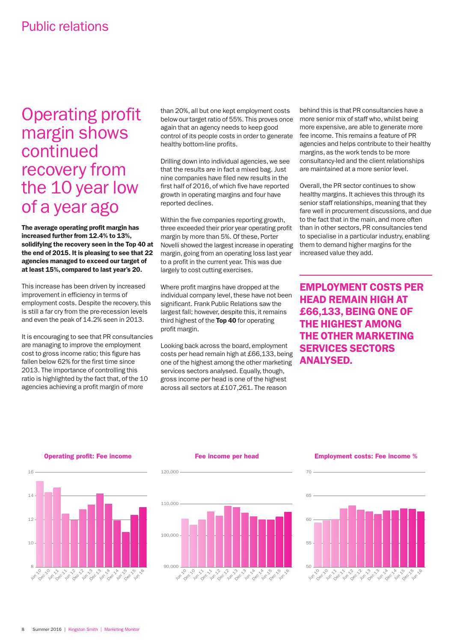# Operating profit margin shows continued recovery from the 10 year low of a year ago

The average operating profit margin has increased further from 12.4% to 13%, solidifying the recovery seen in the Top 40 at the end of 2015. It is pleasing to see that 22 agencies managed to exceed our target of at least 15%, compared to last year's 20.

This increase has been driven by increased improvement in efficiency in terms of employment costs. Despite the recovery, this is still a far cry from the pre-recession levels and even the peak of 14.2% seen in 2013.

It is encouraging to see that PR consultancies are managing to improve the employment cost to gross income ratio; this figure has fallen below 62% for the first time since 2013. The importance of controlling this ratio is highlighted by the fact that, of the 10 agencies achieving a profit margin of more

than 20%, all but one kept employment costs below our target ratio of 55%. This proves once again that an agency needs to keep good control of its people costs in order to generate healthy bottom-line profits.

Drilling down into individual agencies, we see that the results are in fact a mixed bag. Just nine companies have filed new results in the first half of 2016, of which five have reported growth in operating margins and four have reported declines.

Within the five companies reporting growth, three exceeded their prior year operating profit margin by more than 5%. Of these, Porter Novelli showed the largest increase in operating margin, going from an operating loss last year to a profit in the current year. This was due largely to cost cutting exercises.

Where profit margins have dropped at the individual company level, these have not been significant. Frank Public Relations saw the largest fall; however, despite this, it remains third highest of the Top 40 for operating profit margin.

Looking back across the board, employment costs per head remain high at £66,133, being one of the highest among the other marketing services sectors analysed. Equally, though, gross income per head is one of the highest across all sectors at £107,261. The reason

behind this is that PR consultancies have a more senior mix of staff who, whilst being more expensive, are able to generate more fee income. This remains a feature of PR agencies and helps contribute to their healthy margins, as the work tends to be more consultancy-led and the client relationships are maintained at a more senior level.

Overall, the PR sector continues to show healthy margins. It achieves this through its senior staff relationships, meaning that they fare well in procurement discussions, and due to the fact that in the main, and more often than in other sectors, PR consultancies tend to specialise in a particular industry, enabling them to demand higher margins for the increased value they add.

EMPLOYMENT COSTS PER HEAD REMAIN HIGH AT £66,133, BEING ONE OF THE HIGHEST AMONG THE OTHER MARKETING SERVICES SECTORS ANALYSED.



Operating profit: Fee income

### Fee income per head

120,000

 $120.000 -$ 



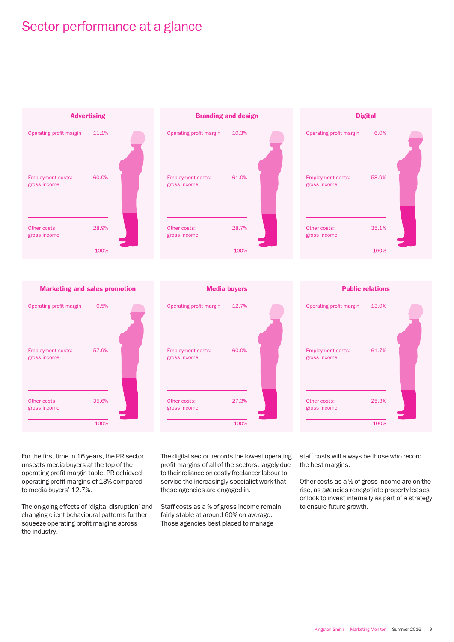# Sector performance at a glance











### Media buyers





For the first time in 16 years, the PR sector unseats media buyers at the top of the operating profit margin table. PR achieved operating profit margins of 13% compared to media buyers' 12.7%.

The on-going effects of 'digital disruption' and changing client behavioural patterns further squeeze operating profit margins across the industry.

The digital sector records the lowest operating profit margins of all of the sectors, largely due to their reliance on costly freelancer labour to service the increasingly specialist work that these agencies are engaged in.

Staff costs as a % of gross income remain fairly stable at around 60% on average. Those agencies best placed to manage

staff costs will always be those who record the best margins.

Other costs as a % of gross income are on the rise, as agencies renegotiate property leases or look to invest internally as part of a strategy to ensure future growth.

### Public relations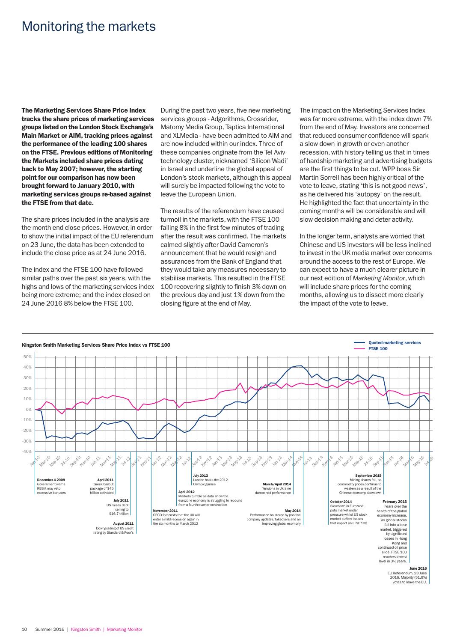# Monitoring the markets

The Marketing Services Share Price Index tracks the share prices of marketing services groups listed on the London Stock Exchange's Main Market or AIM, tracking prices against the performance of the leading 100 shares on the FTSE. Previous editions of Monitoring the Markets included share prices dating back to May 2007; however, the starting point for our comparison has now been brought forward to January 2010, with marketing services groups re-based against the FTSE from that date.

The share prices included in the analysis are the month end close prices. However, in order to show the initial impact of the EU referendum on 23 June, the data has been extended to include the close price as at 24 June 2016.

The index and the FTSE 100 have followed similar paths over the past six years, with the highs and lows of the marketing services index being more extreme; and the index closed on 24 June 2016 8% below the FTSE 100.

During the past two years, five new marketing services groups - Adgorithms, Crossrider, Matomy Media Group, Taptica International and XLMedia - have been admitted to AIM and are now included within our index. Three of these companies originate from the Tel Aviv technology cluster, nicknamed 'Silicon Wadi' in Israel and underline the global appeal of London's stock markets, although this appeal will surely be impacted following the vote to leave the European Union.

The results of the referendum have caused turmoil in the markets, with the FTSE 100 falling 8% in the first few minutes of trading after the result was confirmed. The markets calmed slightly after David Cameron's announcement that he would resign and assurances from the Bank of England that they would take any measures necessary to stabilise markets. This resulted in the FTSE 100 recovering slightly to finish 3% down on the previous day and just 1% down from the closing figure at the end of May.

The impact on the Marketing Services Index was far more extreme, with the index down 7% from the end of May. Investors are concerned that reduced consumer confidence will spark a slow down in growth or even another recession, with history telling us that in times of hardship marketing and advertising budgets are the first things to be cut. WPP boss Sir Martin Sorrell has been highly critical of the vote to leave, stating 'this is not good news', as he delivered his 'autopsy' on the result. He highlighted the fact that uncertainty in the coming months will be considerable and will slow decision making and deter activity.

In the longer term, analysts are worried that Chinese and US investors will be less inclined to invest in the UK media market over concerns around the access to the rest of Europe. We can expect to have a much clearer picture in our next edition of *Marketing Monitor*, which will include share prices for the coming months, allowing us to dissect more clearly the impact of the vote to leave.

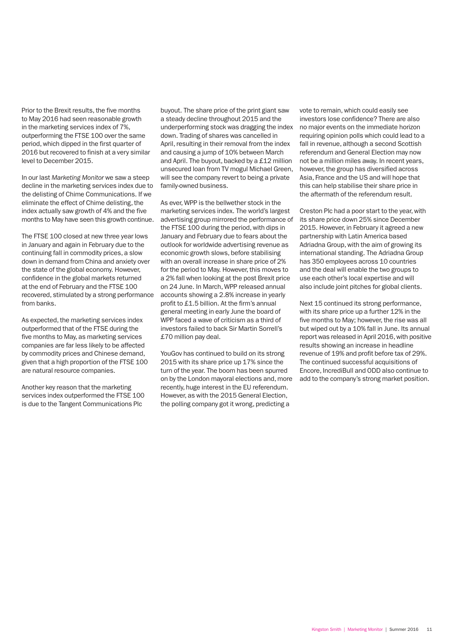Prior to the Brexit results, the five months to May 2016 had seen reasonable growth in the marketing services index of 7%, outperforming the FTSE 100 over the same period, which dipped in the first quarter of 2016 but recovered to finish at a very similar level to December 2015.

In our last *Marketing Monitor* we saw a steep decline in the marketing services index due to the delisting of Chime Communications. If we eliminate the effect of Chime delisting, the index actually saw growth of 4% and the five months to May have seen this growth continue.

The FTSE 100 closed at new three year lows in January and again in February due to the continuing fall in commodity prices, a slow down in demand from China and anxiety over the state of the global economy. However, confidence in the global markets returned at the end of February and the FTSE 100 recovered, stimulated by a strong performance from banks.

As expected, the marketing services index outperformed that of the FTSE during the five months to May, as marketing services companies are far less likely to be affected by commodity prices and Chinese demand, given that a high proportion of the FTSE 100 are natural resource companies.

Another key reason that the marketing services index outperformed the FTSE 100 is due to the Tangent Communications Plc

buyout. The share price of the print giant saw a steady decline throughout 2015 and the underperforming stock was dragging the index down. Trading of shares was cancelled in April, resulting in their removal from the index and causing a jump of 10% between March and April. The buyout, backed by a £12 million unsecured loan from TV mogul Michael Green, will see the company revert to being a private family-owned business.

As ever, WPP is the bellwether stock in the marketing services index. The world's largest advertising group mirrored the performance of the FTSE 100 during the period, with dips in January and February due to fears about the outlook for worldwide advertising revenue as economic growth slows, before stabilising with an overall increase in share price of 2% for the period to May. However, this moves to a 2% fall when looking at the post Brexit price on 24 June. In March, WPP released annual accounts showing a 2.8% increase in yearly profit to £1.5 billion. At the firm's annual general meeting in early June the board of WPP faced a wave of criticism as a third of investors failed to back Sir Martin Sorrell's £70 million pay deal.

YouGov has continued to build on its strong 2015 with its share price up 17% since the turn of the year. The boom has been spurred on by the London mayoral elections and, more recently, huge interest in the EU referendum. However, as with the 2015 General Election, the polling company got it wrong, predicting a

vote to remain, which could easily see investors lose confidence? There are also no major events on the immediate horizon requiring opinion polls which could lead to a fall in revenue, although a second Scottish referendum and General Election may now not be a million miles away. In recent years, however, the group has diversified across Asia, France and the US and will hope that this can help stabilise their share price in the aftermath of the referendum result.

Creston Plc had a poor start to the year, with its share price down 25% since December 2015. However, in February it agreed a new partnership with Latin America based Adriadna Group, with the aim of growing its international standing. The Adriadna Group has 350 employees across 10 countries and the deal will enable the two groups to use each other's local expertise and will also include joint pitches for global clients.

Next 15 continued its strong performance, with its share price up a further 12% in the five months to May; however, the rise was all but wiped out by a 10% fall in June. Its annual report was released in April 2016, with positive results showing an increase in headline revenue of 19% and profit before tax of 29%. The continued successful acquisitions of Encore, IncrediBull and ODD also continue to add to the company's strong market position.